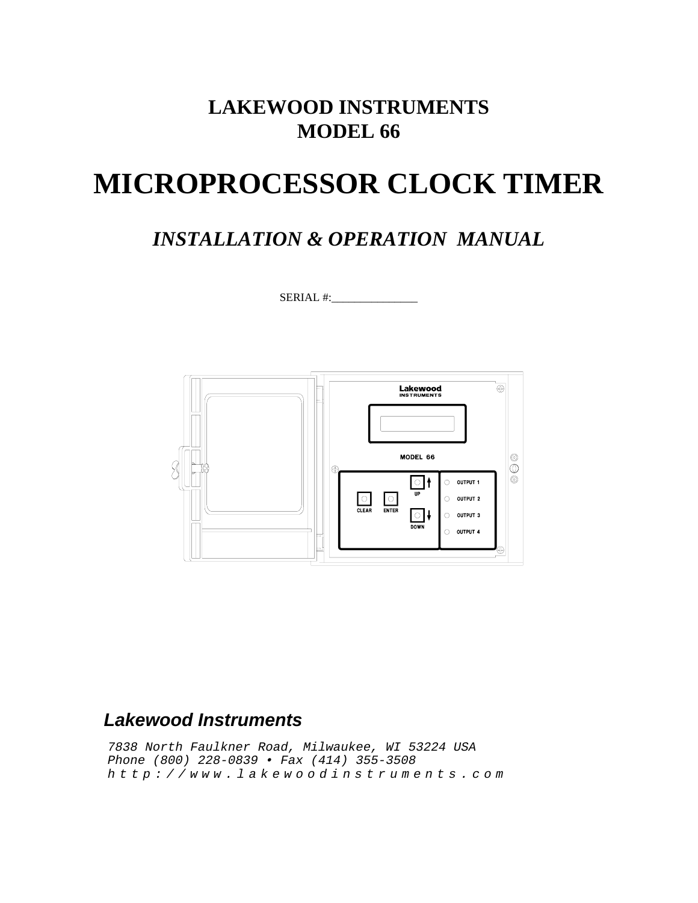## **LAKEWOOD INSTRUMENTS MODEL 66**

# **MICROPROCESSOR CLOCK TIMER**

## *INSTALLATION & OPERATION MANUAL*

SERIAL #:



## *Lakewood Instruments*

*7838 North Faulkner Road, Milwaukee, WI 53224 USA Phone (800) 228-0839 • Fax (414) 355-3508 http://www.lakewoodinstruments.com*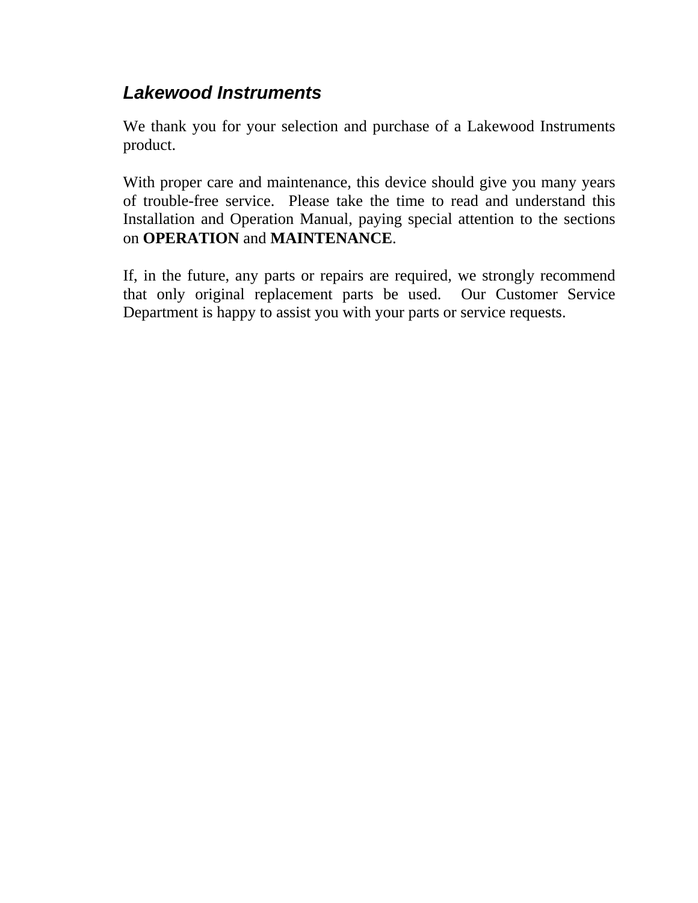## *Lakewood Instruments*

We thank you for your selection and purchase of a Lakewood Instruments product.

With proper care and maintenance, this device should give you many years of trouble-free service. Please take the time to read and understand this Installation and Operation Manual, paying special attention to the sections on **OPERATION** and **MAINTENANCE**.

If, in the future, any parts or repairs are required, we strongly recommend that only original replacement parts be used. Our Customer Service Department is happy to assist you with your parts or service requests.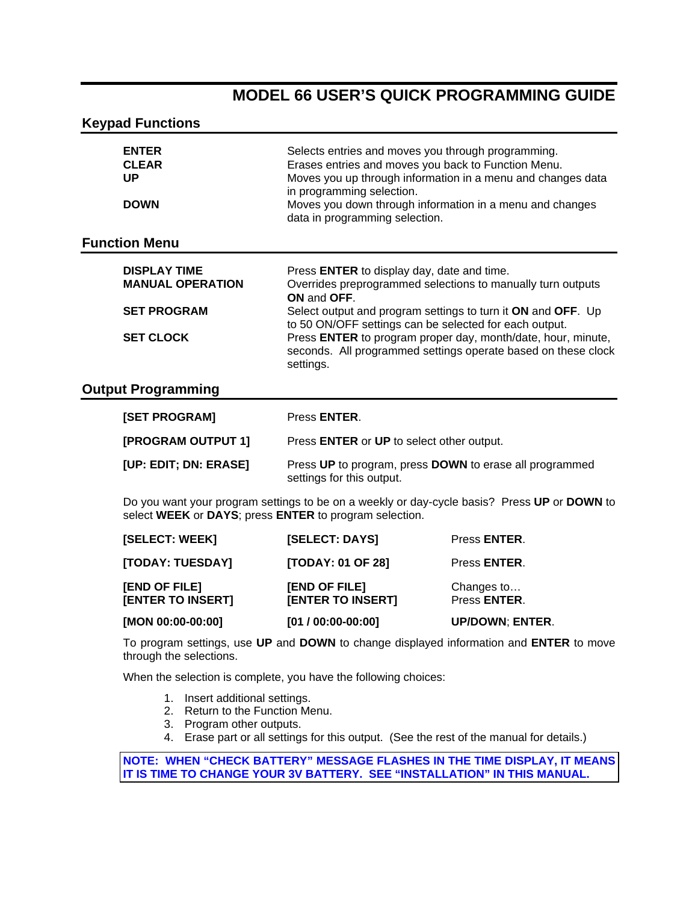### **MODEL 66 USER'S QUICK PROGRAMMING GUIDE**

#### **Keypad Functions**

| <b>ENTER</b><br><b>CLEAR</b> | Selects entries and moves you through programming.<br>Erases entries and moves you back to Function Menu. |
|------------------------------|-----------------------------------------------------------------------------------------------------------|
| UP                           | Moves you up through information in a menu and changes data                                               |
|                              | in programming selection.                                                                                 |
| <b>DOWN</b>                  | Moves you down through information in a menu and changes<br>data in programming selection.                |

#### **Function Menu**

| <b>DISPLAY TIME</b>     | Press ENTER to display day, date and time.                                                                                                 |
|-------------------------|--------------------------------------------------------------------------------------------------------------------------------------------|
| <b>MANUAL OPERATION</b> | Overrides preprogrammed selections to manually turn outputs<br>ON and OFF.                                                                 |
| <b>SET PROGRAM</b>      | Select output and program settings to turn it ON and OFF. Up<br>to 50 ON/OFF settings can be selected for each output.                     |
| <b>SET CLOCK</b>        | Press ENTER to program proper day, month/date, hour, minute,<br>seconds. All programmed settings operate based on these clock<br>settings. |

#### **Output Programming**

| <b>[SET PROGRAM]</b>      | Press <b>ENTER</b> .                                                                 |
|---------------------------|--------------------------------------------------------------------------------------|
| <b>[PROGRAM OUTPUT 1]</b> | Press ENTER or UP to select other output.                                            |
| [UP: EDIT; DN: ERASE]     | Press UP to program, press DOWN to erase all programmed<br>settings for this output. |

Do you want your program settings to be on a weekly or day-cycle basis? Press **UP** or **DOWN** to select **WEEK** or **DAYS**; press **ENTER** to program selection.

| [MON 00:00-00:00]                         | $[01 / 00:00-00:00]$                      | <b>UP/DOWN; ENTER.</b>     |
|-------------------------------------------|-------------------------------------------|----------------------------|
| [END OF FILE]<br><b>[ENTER TO INSERT]</b> | [END OF FILE]<br><b>[ENTER TO INSERT]</b> | Changes to<br>Press ENTER. |
| [TODAY: TUESDAY]                          | <b>[TODAY: 01 OF 28]</b>                  | Press <b>ENTER</b> .       |
| [SELECT: WEEK]                            | <b>[SELECT: DAYS]</b>                     | Press <b>ENTER</b> .       |

To program settings, use **UP** and **DOWN** to change displayed information and **ENTER** to move through the selections.

When the selection is complete, you have the following choices:

- 1. Insert additional settings.
- 2. Return to the Function Menu.
- 3. Program other outputs.
- 4. Erase part or all settings for this output. (See the rest of the manual for details.)

#### **NOTE: WHEN "CHECK BATTERY" MESSAGE FLASHES IN THE TIME DISPLAY, IT MEANS IT IS TIME TO CHANGE YOUR 3V BATTERY. SEE "INSTALLATION" IN THIS MANUAL.**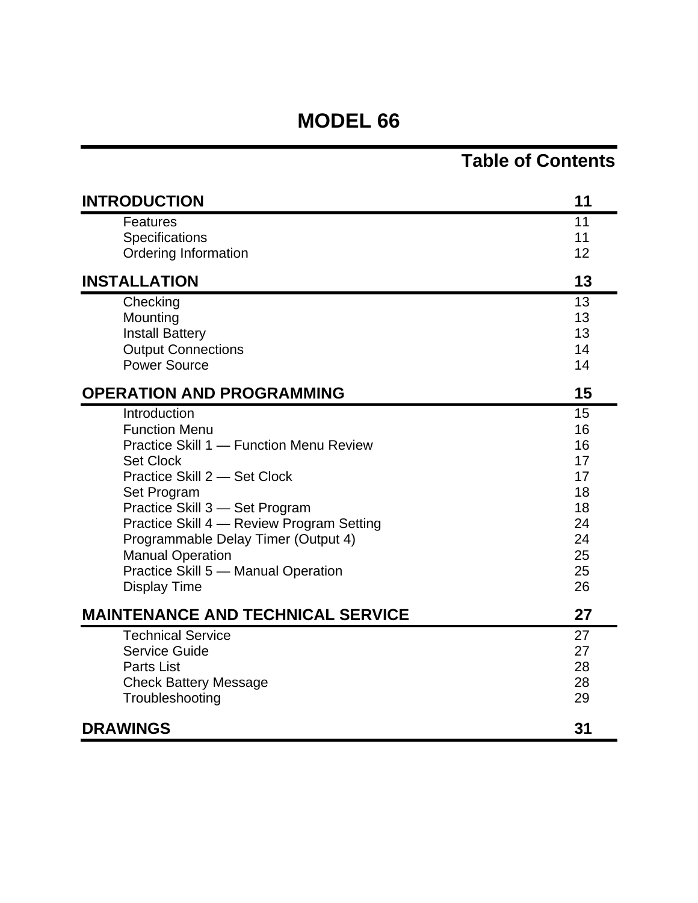## **MODEL 66**

## **Table of Contents**

| <b>INTRODUCTION</b>                                                                                                                                                                                                                                                                                                                                               | 11                                                                   |
|-------------------------------------------------------------------------------------------------------------------------------------------------------------------------------------------------------------------------------------------------------------------------------------------------------------------------------------------------------------------|----------------------------------------------------------------------|
| <b>Features</b><br>Specifications<br>Ordering Information                                                                                                                                                                                                                                                                                                         | 11<br>11<br>12                                                       |
| <b>INSTALLATION</b>                                                                                                                                                                                                                                                                                                                                               | 13                                                                   |
| Checking<br>Mounting<br><b>Install Battery</b><br><b>Output Connections</b><br><b>Power Source</b>                                                                                                                                                                                                                                                                | 13<br>13<br>13<br>14<br>14                                           |
| <b>OPERATION AND PROGRAMMING</b>                                                                                                                                                                                                                                                                                                                                  | 15                                                                   |
| Introduction<br><b>Function Menu</b><br>Practice Skill 1 - Function Menu Review<br><b>Set Clock</b><br>Practice Skill 2 - Set Clock<br>Set Program<br>Practice Skill 3 - Set Program<br>Practice Skill 4 - Review Program Setting<br>Programmable Delay Timer (Output 4)<br><b>Manual Operation</b><br>Practice Skill 5 - Manual Operation<br><b>Display Time</b> | 15<br>16<br>16<br>17<br>17<br>18<br>18<br>24<br>24<br>25<br>25<br>26 |
| <b>MAINTENANCE AND TECHNICAL SERVICE</b>                                                                                                                                                                                                                                                                                                                          | 27                                                                   |
| <b>Technical Service</b><br><b>Service Guide</b><br><b>Parts List</b><br><b>Check Battery Message</b><br>Troubleshooting                                                                                                                                                                                                                                          | 27<br>27<br>28<br>28<br>29                                           |
| <b>DRAWINGS</b>                                                                                                                                                                                                                                                                                                                                                   | 31                                                                   |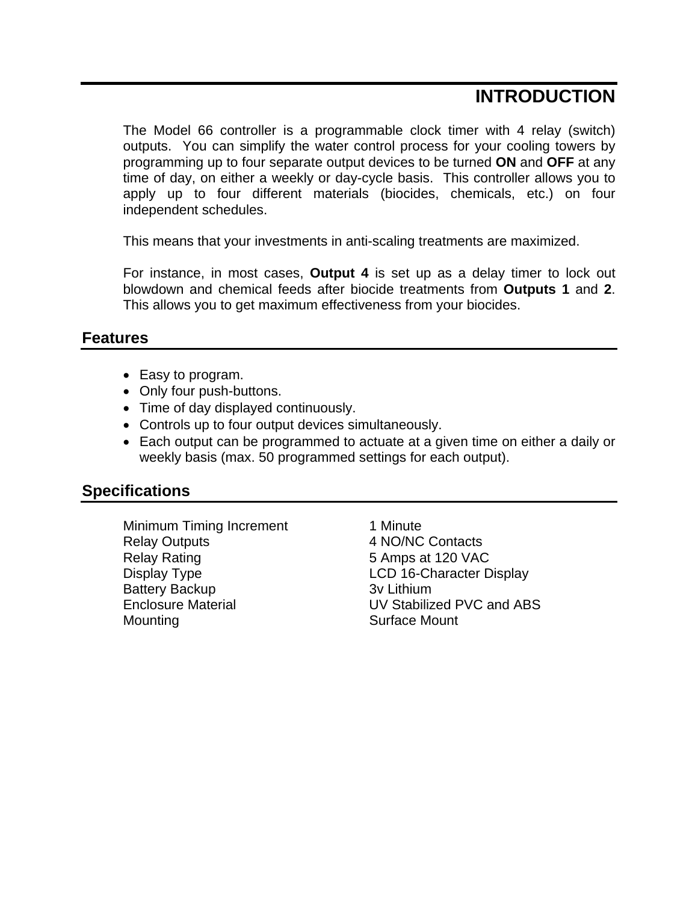## **INTRODUCTION**

The Model 66 controller is a programmable clock timer with 4 relay (switch) outputs. You can simplify the water control process for your cooling towers by programming up to four separate output devices to be turned **ON** and **OFF** at any time of day, on either a weekly or day-cycle basis. This controller allows you to apply up to four different materials (biocides, chemicals, etc.) on four independent schedules.

This means that your investments in anti-scaling treatments are maximized.

For instance, in most cases, **Output 4** is set up as a delay timer to lock out blowdown and chemical feeds after biocide treatments from **Outputs 1** and **2**. This allows you to get maximum effectiveness from your biocides.

#### **Features**

- Easy to program.
- Only four push-buttons.
- Time of day displayed continuously.
- Controls up to four output devices simultaneously.
- Each output can be programmed to actuate at a given time on either a daily or weekly basis (max. 50 programmed settings for each output).

### **Specifications**

Minimum Timing Increment 1 Minute Relay Outputs 4 NO/NC Contacts Relay Rating **5** Amps at 120 VAC Display Type **LCD** 16-Character Display Battery Backup 3v Lithium Mounting Mounting Surface Mount

Enclosure Material UV Stabilized PVC and ABS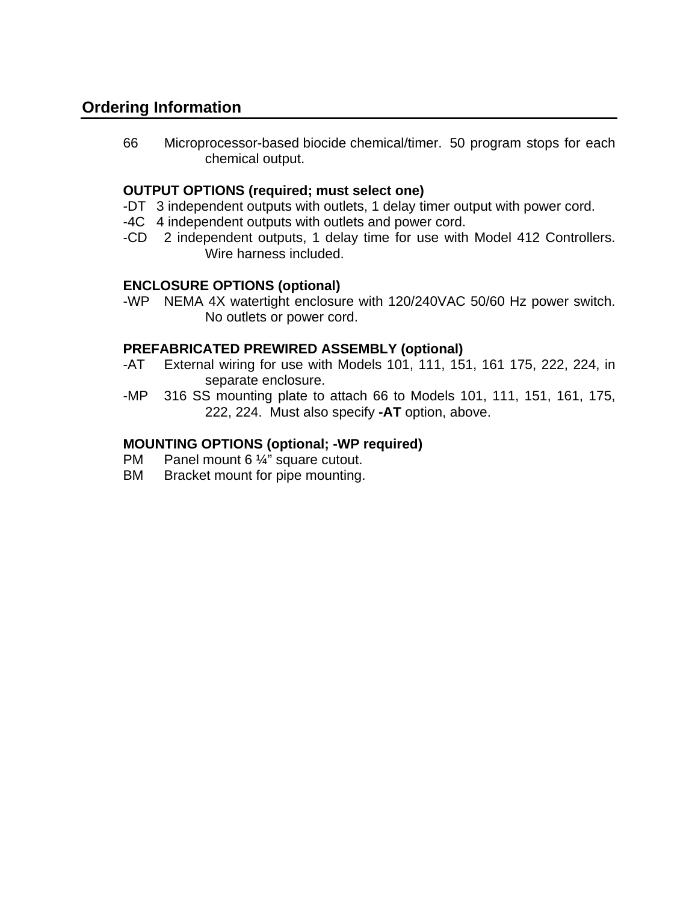### **Ordering Information**

66 Microprocessor-based biocide chemical/timer. 50 program stops for each chemical output.

#### **OUTPUT OPTIONS (required; must select one)**

- -DT 3 independent outputs with outlets, 1 delay timer output with power cord.
- -4C 4 independent outputs with outlets and power cord.
- -CD 2 independent outputs, 1 delay time for use with Model 412 Controllers. Wire harness included.

#### **ENCLOSURE OPTIONS (optional)**

-WP NEMA 4X watertight enclosure with 120/240VAC 50/60 Hz power switch. No outlets or power cord.

#### **PREFABRICATED PREWIRED ASSEMBLY (optional)**

- -AT External wiring for use with Models 101, 111, 151, 161 175, 222, 224, in separate enclosure.
- -MP 316 SS mounting plate to attach 66 to Models 101, 111, 151, 161, 175, 222, 224. Must also specify **-AT** option, above.

#### **MOUNTING OPTIONS (optional; -WP required)**

- PM Panel mount 6 1/4" square cutout.
- BM Bracket mount for pipe mounting.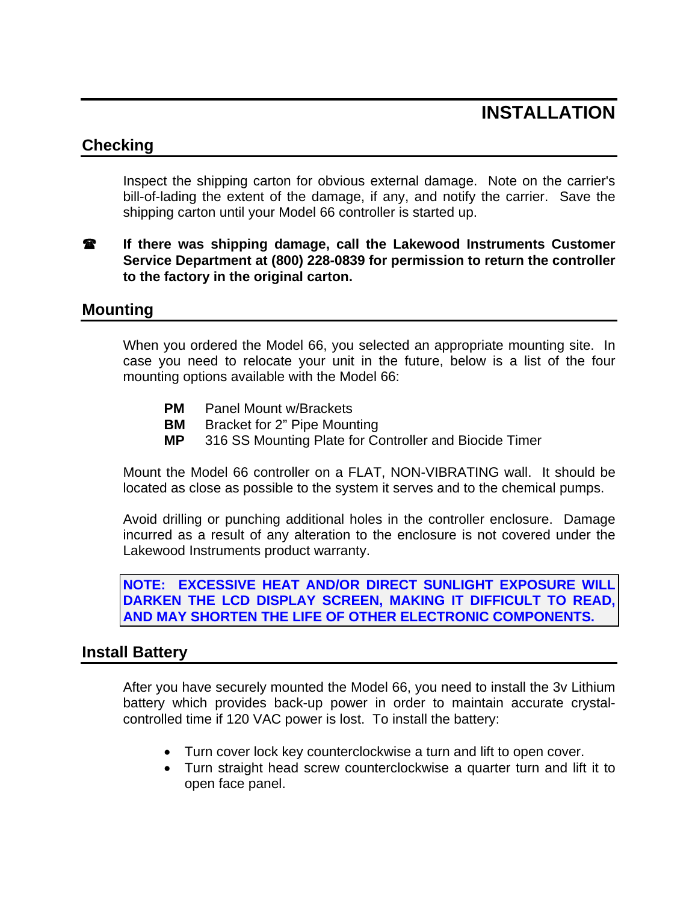## **INSTALLATION**

### **Checking**

Inspect the shipping carton for obvious external damage. Note on the carrier's bill-of-lading the extent of the damage, if any, and notify the carrier. Save the shipping carton until your Model 66 controller is started up.

**18** If there was shipping damage, call the Lakewood Instruments Customer **Service Department at (800) 228-0839 for permission to return the controller to the factory in the original carton.** 

#### **Mounting**

When you ordered the Model 66, you selected an appropriate mounting site. In case you need to relocate your unit in the future, below is a list of the four mounting options available with the Model 66:

- **PM** Panel Mount w/Brackets
- **BM** Bracket for 2" Pipe Mounting
- **MP** 316 SS Mounting Plate for Controller and Biocide Timer

Mount the Model 66 controller on a FLAT, NON-VIBRATING wall. It should be located as close as possible to the system it serves and to the chemical pumps.

Avoid drilling or punching additional holes in the controller enclosure. Damage incurred as a result of any alteration to the enclosure is not covered under the Lakewood Instruments product warranty.

**NOTE: EXCESSIVE HEAT AND/OR DIRECT SUNLIGHT EXPOSURE WILL DARKEN THE LCD DISPLAY SCREEN, MAKING IT DIFFICULT TO READ, AND MAY SHORTEN THE LIFE OF OTHER ELECTRONIC COMPONENTS.** 

#### **Install Battery**

After you have securely mounted the Model 66, you need to install the 3v Lithium battery which provides back-up power in order to maintain accurate crystalcontrolled time if 120 VAC power is lost. To install the battery:

- Turn cover lock key counterclockwise a turn and lift to open cover.
- Turn straight head screw counterclockwise a quarter turn and lift it to open face panel.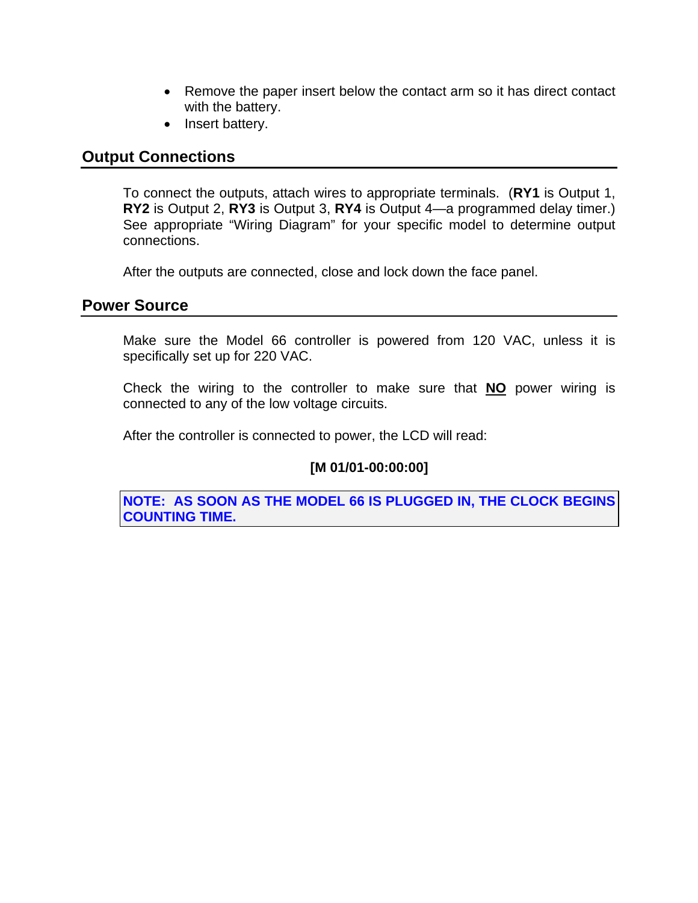- Remove the paper insert below the contact arm so it has direct contact with the battery.
- Insert battery.

### **Output Connections**

To connect the outputs, attach wires to appropriate terminals. (**RY1** is Output 1, **RY2** is Output 2, **RY3** is Output 3, **RY4** is Output 4—a programmed delay timer.) See appropriate "Wiring Diagram" for your specific model to determine output connections.

After the outputs are connected, close and lock down the face panel.

#### **Power Source**

Make sure the Model 66 controller is powered from 120 VAC, unless it is specifically set up for 220 VAC.

Check the wiring to the controller to make sure that **NO** power wiring is connected to any of the low voltage circuits.

After the controller is connected to power, the LCD will read:

#### **[M 01/01-00:00:00]**

**NOTE: AS SOON AS THE MODEL 66 IS PLUGGED IN, THE CLOCK BEGINS COUNTING TIME.**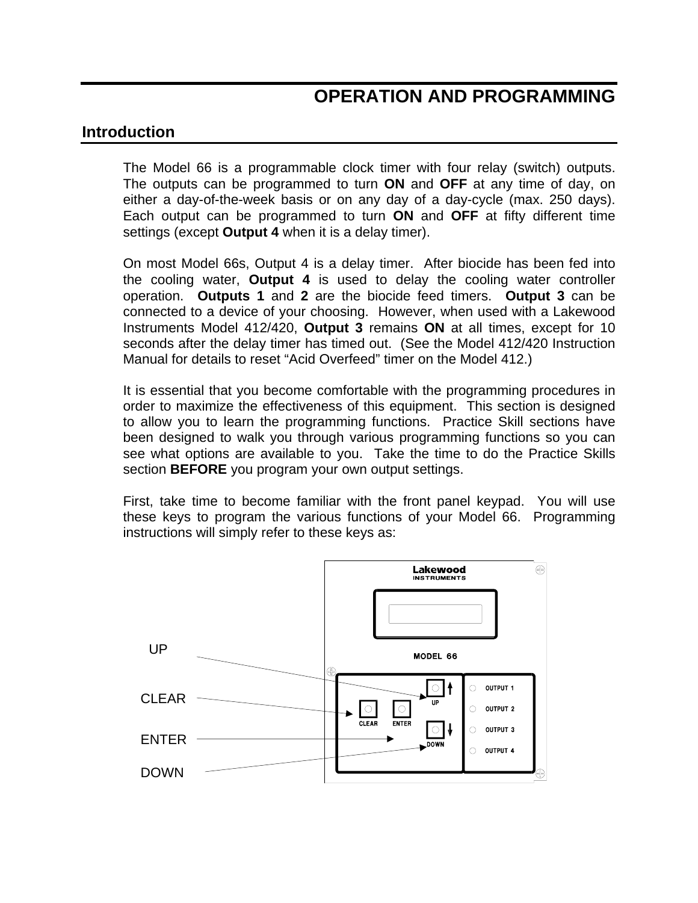## **OPERATION AND PROGRAMMING**

#### **Introduction**

The Model 66 is a programmable clock timer with four relay (switch) outputs. The outputs can be programmed to turn **ON** and **OFF** at any time of day, on either a day-of-the-week basis or on any day of a day-cycle (max. 250 days). Each output can be programmed to turn **ON** and **OFF** at fifty different time settings (except **Output 4** when it is a delay timer).

On most Model 66s, Output 4 is a delay timer. After biocide has been fed into the cooling water, **Output 4** is used to delay the cooling water controller operation. **Outputs 1** and **2** are the biocide feed timers. **Output 3** can be connected to a device of your choosing. However, when used with a Lakewood Instruments Model 412/420, **Output 3** remains **ON** at all times, except for 10 seconds after the delay timer has timed out. (See the Model 412/420 Instruction Manual for details to reset "Acid Overfeed" timer on the Model 412.)

It is essential that you become comfortable with the programming procedures in order to maximize the effectiveness of this equipment. This section is designed to allow you to learn the programming functions. Practice Skill sections have been designed to walk you through various programming functions so you can see what options are available to you. Take the time to do the Practice Skills section **BEFORE** you program your own output settings.

First, take time to become familiar with the front panel keypad. You will use these keys to program the various functions of your Model 66. Programming instructions will simply refer to these keys as:

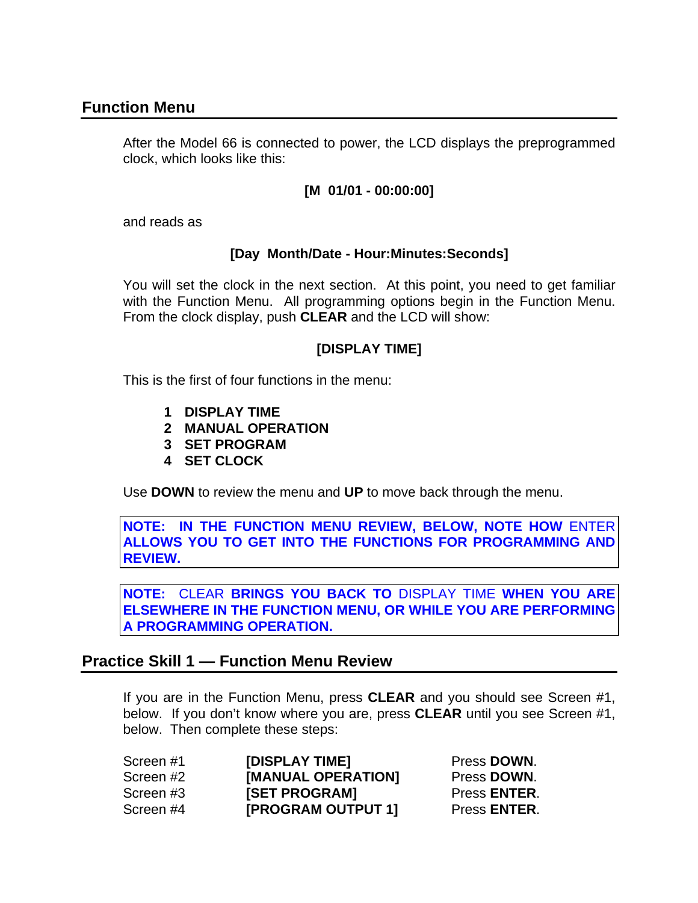### **Function Menu**

After the Model 66 is connected to power, the LCD displays the preprogrammed clock, which looks like this:

#### **[M 01/01 - 00:00:00]**

and reads as

#### **[Day Month/Date - Hour:Minutes:Seconds]**

You will set the clock in the next section. At this point, you need to get familiar with the Function Menu. All programming options begin in the Function Menu. From the clock display, push **CLEAR** and the LCD will show:

#### **[DISPLAY TIME]**

This is the first of four functions in the menu:

- **1 DISPLAY TIME**
- **2 MANUAL OPERATION**
- **3 SET PROGRAM**
- **4 SET CLOCK**

Use **DOWN** to review the menu and **UP** to move back through the menu.

**NOTE: IN THE FUNCTION MENU REVIEW, BELOW, NOTE HOW** ENTER **ALLOWS YOU TO GET INTO THE FUNCTIONS FOR PROGRAMMING AND REVIEW.** 

**NOTE:** CLEAR **BRINGS YOU BACK TO** DISPLAY TIME **WHEN YOU ARE ELSEWHERE IN THE FUNCTION MENU, OR WHILE YOU ARE PERFORMING A PROGRAMMING OPERATION.** 

### **Practice Skill 1 — Function Menu Review**

If you are in the Function Menu, press **CLEAR** and you should see Screen #1, below. If you don't know where you are, press **CLEAR** until you see Screen #1, below. Then complete these steps:

| Screen #1 | [DISPLAY TIME]     | Press DOWN.          |
|-----------|--------------------|----------------------|
| Screen #2 | [MANUAL OPERATION] | Press DOWN.          |
| Screen #3 | [SET PROGRAM]      | Press ENTER.         |
| Screen #4 | [PROGRAM OUTPUT 1] | Press <b>ENTER</b> . |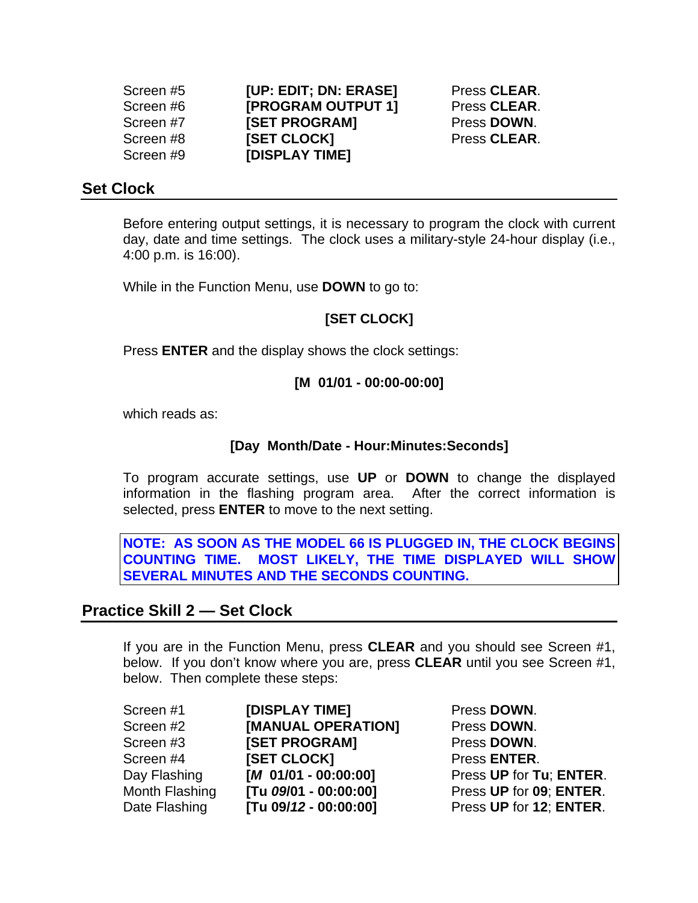| Screen #5 | [UP: EDIT; DN: ERASE]     | Press CLEAR. |
|-----------|---------------------------|--------------|
| Screen #6 | <b>[PROGRAM OUTPUT 1]</b> | Press CLEAR. |
| Screen #7 | [SET PROGRAM]             | Press DOWN.  |
| Screen #8 | <b>[SET CLOCK]</b>        | Press CLEAR. |
| Screen #9 | [DISPLAY TIME]            |              |

#### **Set Clock**

Before entering output settings, it is necessary to program the clock with current day, date and time settings. The clock uses a military-style 24-hour display (i.e., 4:00 p.m. is 16:00).

While in the Function Menu, use **DOWN** to go to:

#### **[SET CLOCK]**

Press **ENTER** and the display shows the clock settings:

#### **[M 01/01 - 00:00-00:00]**

which reads as:

#### **[Day Month/Date - Hour:Minutes:Seconds]**

To program accurate settings, use **UP** or **DOWN** to change the displayed information in the flashing program area. After the correct information is selected, press **ENTER** to move to the next setting.

**NOTE: AS SOON AS THE MODEL 66 IS PLUGGED IN, THE CLOCK BEGINS COUNTING TIME. MOST LIKELY, THE TIME DISPLAYED WILL SHOW SEVERAL MINUTES AND THE SECONDS COUNTING.** 

#### **Practice Skill 2 — Set Clock**

If you are in the Function Menu, press **CLEAR** and you should see Screen #1, below. If you don't know where you are, press **CLEAR** until you see Screen #1, below. Then complete these steps:

| Screen #1      | [DISPLAY TIME]         |
|----------------|------------------------|
| Screen #2      | [MANUAL OPERATION]     |
| Screen #3      | [SET PROGRAM]          |
| Screen #4      | <b>ISET CLOCKI</b>     |
| Day Flashing   | $[M 01/01 - 00:00:00]$ |
| Month Flashing | [Tu 09/01 - 00:00:00]  |
| Date Flashing  | [Tu 09/12 - 00:00:00]  |
|                |                        |

**Press DOWN. Press DOWN. Press DOWN. Press <b>ENTER**. **Press UP** for **Tu**: **ENTER.** Month Flashing **[Tu** *09***/01 - 00:00:00]** Press **UP** for **09**; **ENTER**. Date Flashing **[Tu 09/***12* **- 00:00:00]** Press **UP** for **12**; **ENTER**.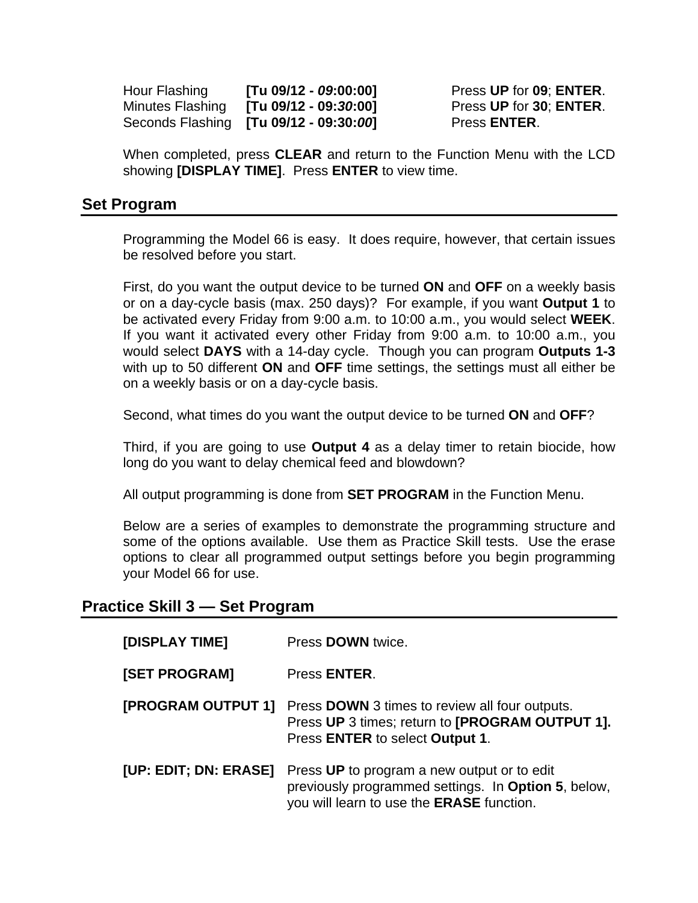Hour Flashing **[Tu 09/12 -** *09***:00:00]** Press **UP** for **09**; **ENTER**. Minutes Flashing **[Tu 09/12 - 09:***30***:00]** Press **UP** for **30**; **ENTER**. Seconds Flashing **[Tu 09/12 - 09:30:***00***]** Press **ENTER**.

When completed, press **CLEAR** and return to the Function Menu with the LCD showing **[DISPLAY TIME]**. Press **ENTER** to view time.

#### **Set Program**

Programming the Model 66 is easy. It does require, however, that certain issues be resolved before you start.

First, do you want the output device to be turned **ON** and **OFF** on a weekly basis or on a day-cycle basis (max. 250 days)? For example, if you want **Output 1** to be activated every Friday from 9:00 a.m. to 10:00 a.m., you would select **WEEK**. If you want it activated every other Friday from 9:00 a.m. to 10:00 a.m., you would select **DAYS** with a 14-day cycle. Though you can program **Outputs 1-3** with up to 50 different **ON** and **OFF** time settings, the settings must all either be on a weekly basis or on a day-cycle basis.

Second, what times do you want the output device to be turned **ON** and **OFF**?

Third, if you are going to use **Output 4** as a delay timer to retain biocide, how long do you want to delay chemical feed and blowdown?

All output programming is done from **SET PROGRAM** in the Function Menu.

Below are a series of examples to demonstrate the programming structure and some of the options available. Use them as Practice Skill tests. Use the erase options to clear all programmed output settings before you begin programming your Model 66 for use.

### **Practice Skill 3 — Set Program**

| [DISPLAY TIME]        | Press DOWN twice.                                                                                                                                      |
|-----------------------|--------------------------------------------------------------------------------------------------------------------------------------------------------|
| [SET PROGRAM]         | Press <b>ENTER</b> .                                                                                                                                   |
| [PROGRAM OUTPUT 1]    | Press <b>DOWN</b> 3 times to review all four outputs.<br>Press UP 3 times; return to [PROGRAM OUTPUT 1].<br>Press ENTER to select Output 1.            |
| [UP: EDIT; DN: ERASE] | Press UP to program a new output or to edit<br>previously programmed settings. In Option 5, below,<br>you will learn to use the <b>ERASE</b> function. |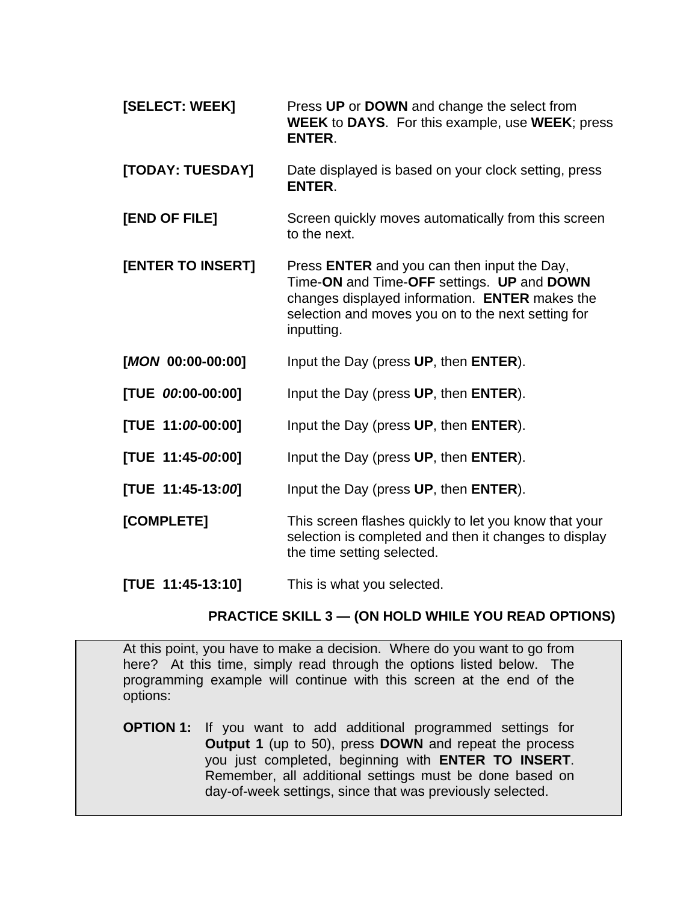- **[SELECT: WEEK]** Press **UP** or **DOWN** and change the select from **WEEK** to **DAYS**. For this example, use **WEEK**; press **ENTER**.
- **[TODAY: TUESDAY]** Date displayed is based on your clock setting, press **ENTER**.
- **[END OF FILE]** Screen quickly moves automatically from this screen to the next.
- **[ENTER TO INSERT]** Press **ENTER** and you can then input the Day, Time-**ON** and Time-**OFF** settings. **UP** and **DOWN**  changes displayed information. **ENTER** makes the selection and moves you on to the next setting for inputting.
- **[***MON* **00:00-00:00]** Input the Day (press **UP**, then **ENTER**).
- **[TUE** *00***:00-00:00]** Input the Day (press **UP**, then **ENTER**).
- **[TUE 11:***00***-00:00]** Input the Day (press **UP**, then **ENTER**).
- **[TUE 11:45-***00***:00]** Input the Day (press **UP**, then **ENTER**).
- **[TUE 11:45-13:***00***]** Input the Day (press **UP**, then **ENTER**).
- **[COMPLETE]** This screen flashes quickly to let you know that your selection is completed and then it changes to display the time setting selected.
- **[TUE 11:45-13:10]** This is what you selected.

#### **PRACTICE SKILL 3 — (ON HOLD WHILE YOU READ OPTIONS)**

At this point, you have to make a decision. Where do you want to go from here? At this time, simply read through the options listed below. The programming example will continue with this screen at the end of the options:

**OPTION 1:** If you want to add additional programmed settings for **Output 1** (up to 50), press **DOWN** and repeat the process you just completed, beginning with **ENTER TO INSERT**. Remember, all additional settings must be done based on day-of-week settings, since that was previously selected.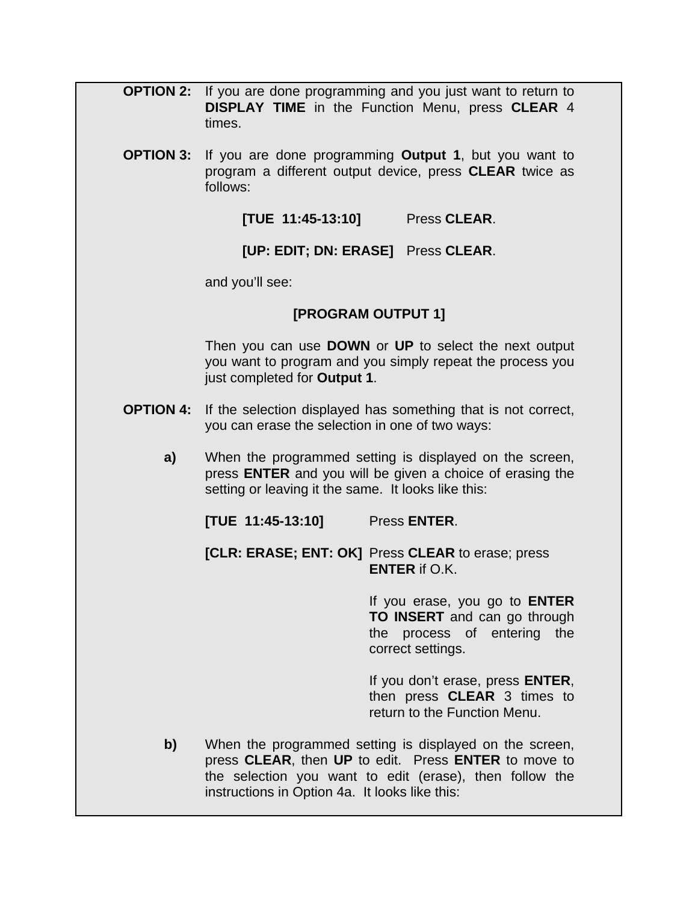- **OPTION 2:** If you are done programming and you just want to return to **DISPLAY TIME** in the Function Menu, press **CLEAR** 4 times.
- **OPTION 3:** If you are done programming **Output 1**, but you want to program a different output device, press **CLEAR** twice as follows:

**[TUE 11:45-13:10]** Press **CLEAR**.

**[UP: EDIT; DN: ERASE]** Press **CLEAR**.

and you'll see:

#### **[PROGRAM OUTPUT 1]**

Then you can use **DOWN** or **UP** to select the next output you want to program and you simply repeat the process you just completed for **Output 1**.

- **OPTION 4:** If the selection displayed has something that is not correct, you can erase the selection in one of two ways:
	- **a)** When the programmed setting is displayed on the screen, press **ENTER** and you will be given a choice of erasing the setting or leaving it the same. It looks like this:

**[TUE 11:45-13:10]** Press **ENTER**.

**[CLR: ERASE; ENT: OK]** Press **CLEAR** to erase; press **ENTER** if O.K.

> If you erase, you go to **ENTER TO INSERT** and can go through the process of entering the correct settings.

> If you don't erase, press **ENTER**, then press **CLEAR** 3 times to return to the Function Menu.

**b)** When the programmed setting is displayed on the screen, press **CLEAR**, then **UP** to edit. Press **ENTER** to move to the selection you want to edit (erase), then follow the instructions in Option 4a. It looks like this: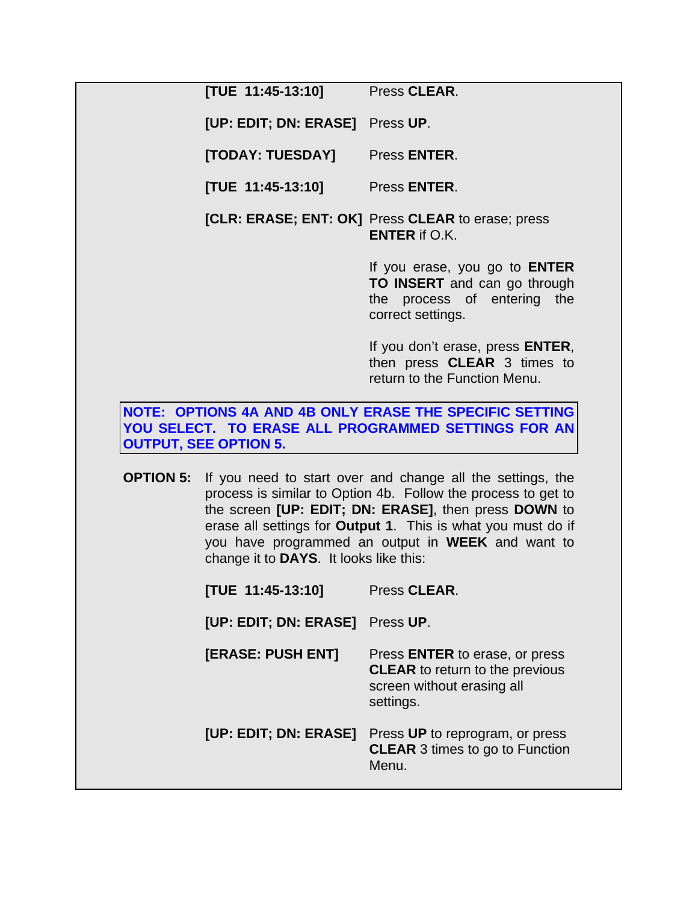**[TUE 11:45-13:10]** Press **CLEAR**.

**[UP: EDIT; DN: ERASE]** Press **UP**.

**[TODAY: TUESDAY]** Press **ENTER**.

**[TUE 11:45-13:10]** Press **ENTER**.

**[CLR: ERASE; ENT: OK]** Press **CLEAR** to erase; press **ENTER** if O.K.

> If you erase, you go to **ENTER TO INSERT** and can go through the process of entering the correct settings.

> If you don't erase, press **ENTER**, then press **CLEAR** 3 times to return to the Function Menu.

**NOTE: OPTIONS 4A AND 4B ONLY ERASE THE SPECIFIC SETTING YOU SELECT. TO ERASE ALL PROGRAMMED SETTINGS FOR AN OUTPUT, SEE OPTION 5.** 

**OPTION 5:** If you need to start over and change all the settings, the process is similar to Option 4b. Follow the process to get to the screen **[UP: EDIT; DN: ERASE]**, then press **DOWN** to erase all settings for **Output 1**. This is what you must do if you have programmed an output in **WEEK** and want to change it to **DAYS**. It looks like this:

**[TUE 11:45-13:10]** Press **CLEAR**.

**[UP: EDIT; DN: ERASE]** Press **UP**.

- **[ERASE: PUSH ENT]** Press **ENTER** to erase, or press **CLEAR** to return to the previous screen without erasing all settings.
- **[UP: EDIT; DN: ERASE]** Press **UP** to reprogram, or press **CLEAR** 3 times to go to Function Menu.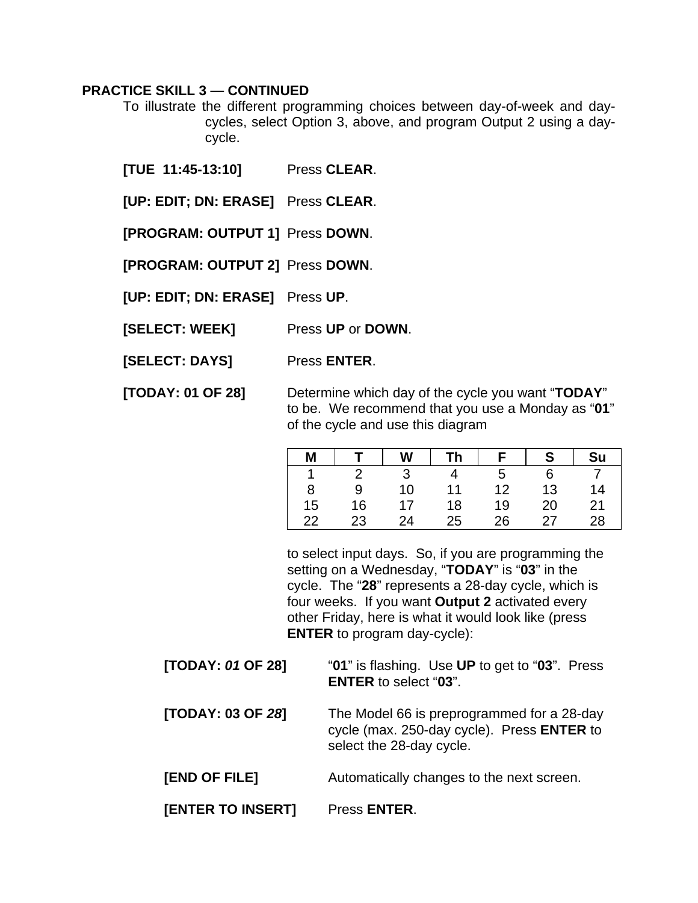#### **PRACTICE SKILL 3 — CONTINUED**

- To illustrate the different programming choices between day-of-week and daycycles, select Option 3, above, and program Output 2 using a daycycle.
- **[TUE 11:45-13:10]** Press **CLEAR**.
- **[UP: EDIT; DN: ERASE]** Press **CLEAR**.
- **[PROGRAM: OUTPUT 1]** Press **DOWN**.
- **[PROGRAM: OUTPUT 2]** Press **DOWN**.
- **[UP: EDIT; DN: ERASE]** Press **UP**.
- **[SELECT: WEEK]** Press **UP** or **DOWN**.
- **[SELECT: DAYS]** Press **ENTER**.
- **[TODAY: 01 OF 28]** Determine which day of the cycle you want "**TODAY**" to be. We recommend that you use a Monday as "**01**" of the cycle and use this diagram

| M  |    | W  | Th |    | c  | Su |
|----|----|----|----|----|----|----|
|    |    |    |    | 5  |    |    |
| 8  | 9  | 10 | 11 | 12 | 13 | 14 |
| 15 | 16 | 17 | 18 | 19 | 20 | 21 |
| 22 | 23 | 24 | 25 | 26 | 27 | 28 |

to select input days. So, if you are programming the setting on a Wednesday, "**TODAY**" is "**03**" in the cycle. The "**28**" represents a 28-day cycle, which is four weeks. If you want **Output 2** activated every other Friday, here is what it would look like (press **ENTER** to program day-cycle):

- **[TODAY:** *01* **OF 28]** "**01**" is flashing. Use **UP** to get to "**03**". Press **ENTER** to select "**03**".
- **[TODAY: 03 OF** *28***]** The Model 66 is preprogrammed for a 28-day cycle (max. 250-day cycle). Press **ENTER** to select the 28-day cycle.
- **[END OF FILE]** Automatically changes to the next screen.
- **[ENTER TO INSERT]** Press **ENTER**.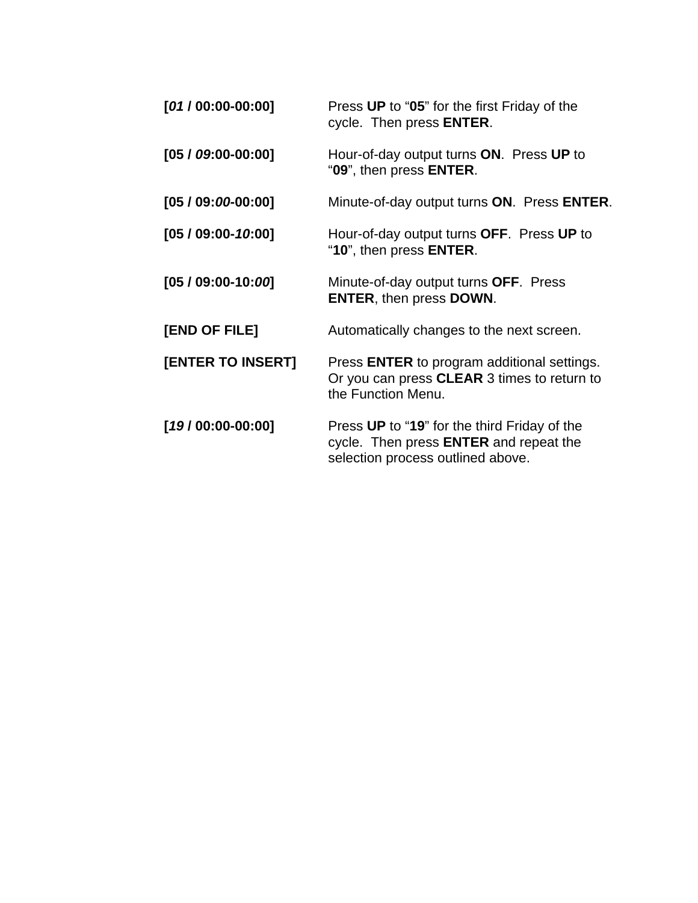| $[01/00:00-00:00]$ | Press UP to "05" for the first Friday of the<br>cycle. Then press <b>ENTER</b> .                                                   |
|--------------------|------------------------------------------------------------------------------------------------------------------------------------|
| $[05/09:00-00:00]$ | Hour-of-day output turns ON. Press UP to<br>"09", then press <b>ENTER</b> .                                                        |
| $[05/09:00-00:00]$ | Minute-of-day output turns ON. Press ENTER.                                                                                        |
| $[05/09:00-10:00]$ | Hour-of-day output turns OFF. Press UP to<br>"10", then press <b>ENTER</b> .                                                       |
| $[05/09:00-10:00]$ | Minute-of-day output turns OFF. Press<br><b>ENTER, then press DOWN.</b>                                                            |
| [END OF FILE]      | Automatically changes to the next screen.                                                                                          |
| [ENTER TO INSERT]  | Press <b>ENTER</b> to program additional settings.<br>Or you can press CLEAR 3 times to return to<br>the Function Menu.            |
| $[19/00:00-00:00]$ | Press UP to "19" for the third Friday of the<br>cycle. Then press <b>ENTER</b> and repeat the<br>selection process outlined above. |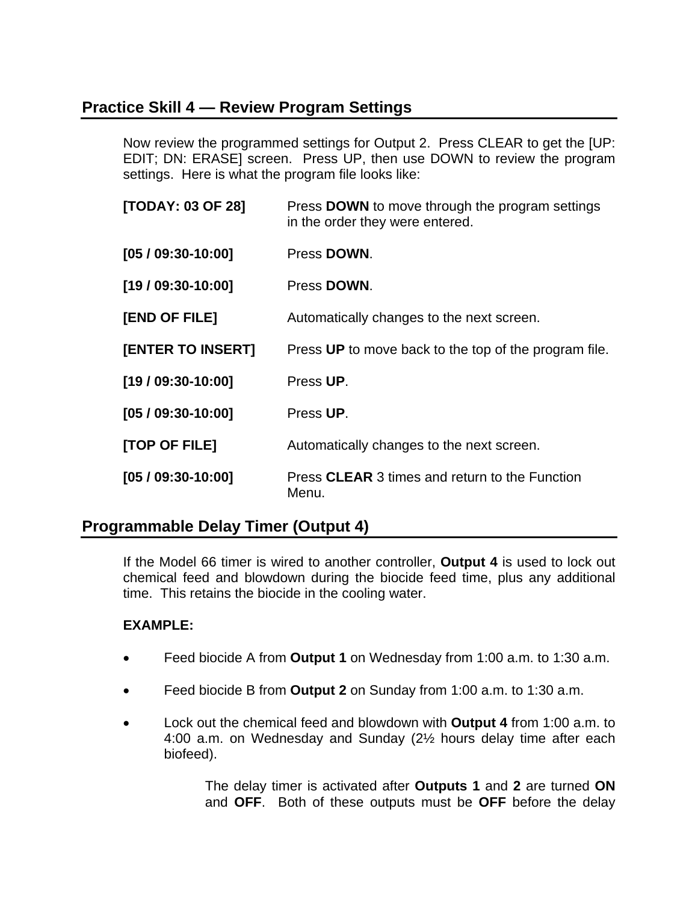### **Practice Skill 4 — Review Program Settings**

Now review the programmed settings for Output 2. Press CLEAR to get the [UP: EDIT; DN: ERASE] screen. Press UP, then use DOWN to review the program settings. Here is what the program file looks like:

| [TODAY: 03 OF 28]        | Press <b>DOWN</b> to move through the program settings<br>in the order they were entered. |
|--------------------------|-------------------------------------------------------------------------------------------|
| $[05/09:30-10:00]$       | Press DOWN.                                                                               |
| $[19/09:30-10:00]$       | Press DOWN.                                                                               |
| [END OF FILE]            | Automatically changes to the next screen.                                                 |
| <b>[ENTER TO INSERT]</b> | Press UP to move back to the top of the program file.                                     |
| $[19/09:30-10:00]$       | Press UP.                                                                                 |
| $[05/09:30-10:00]$       | Press UP.                                                                                 |
| [TOP OF FILE]            | Automatically changes to the next screen.                                                 |
| $[05/09:30-10:00]$       | Press CLEAR 3 times and return to the Function<br>Menu.                                   |

### **Programmable Delay Timer (Output 4)**

If the Model 66 timer is wired to another controller, **Output 4** is used to lock out chemical feed and blowdown during the biocide feed time, plus any additional time. This retains the biocide in the cooling water.

#### **EXAMPLE:**

- Feed biocide A from **Output 1** on Wednesday from 1:00 a.m. to 1:30 a.m.
- Feed biocide B from **Output 2** on Sunday from 1:00 a.m. to 1:30 a.m.
- Lock out the chemical feed and blowdown with **Output 4** from 1:00 a.m. to 4:00 a.m. on Wednesday and Sunday (2½ hours delay time after each biofeed).

The delay timer is activated after **Outputs 1** and **2** are turned **ON** and **OFF**. Both of these outputs must be **OFF** before the delay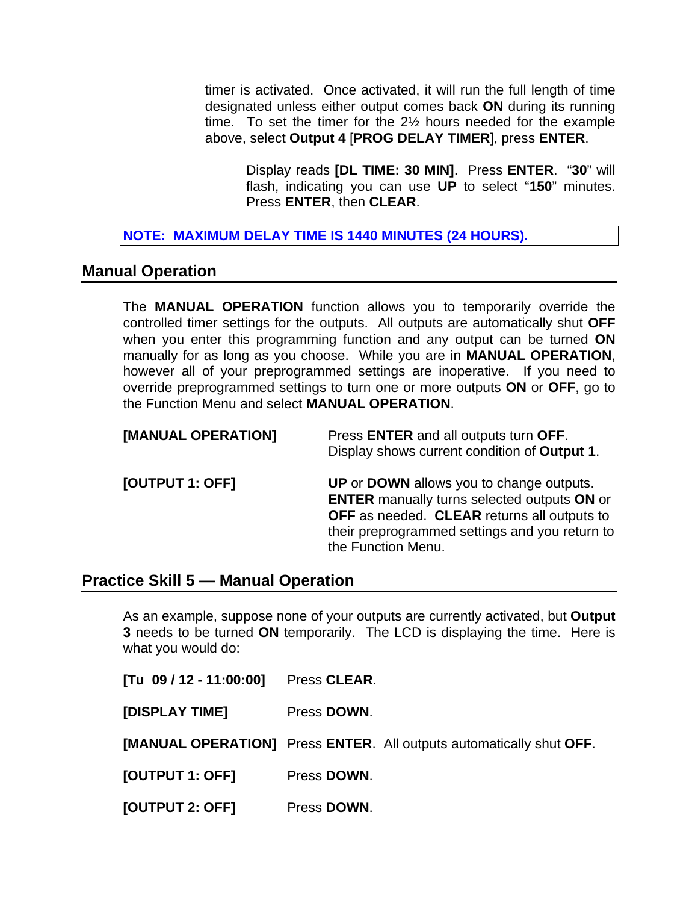timer is activated. Once activated, it will run the full length of time designated unless either output comes back **ON** during its running time. To set the timer for the 2½ hours needed for the example above, select **Output 4** [**PROG DELAY TIMER**], press **ENTER**.

Display reads **[DL TIME: 30 MIN]**. Press **ENTER**. "**30**" will flash, indicating you can use **UP** to select "**150**" minutes. Press **ENTER**, then **CLEAR**.

**NOTE: MAXIMUM DELAY TIME IS 1440 MINUTES (24 HOURS).** 

#### **Manual Operation**

The **MANUAL OPERATION** function allows you to temporarily override the controlled timer settings for the outputs. All outputs are automatically shut **OFF** when you enter this programming function and any output can be turned **ON** manually for as long as you choose. While you are in **MANUAL OPERATION**, however all of your preprogrammed settings are inoperative. If you need to override preprogrammed settings to turn one or more outputs **ON** or **OFF**, go to the Function Menu and select **MANUAL OPERATION**.

| [MANUAL OPERATION] | Press ENTER and all outputs turn OFF.<br>Display shows current condition of Output 1.                                                                                                                                 |
|--------------------|-----------------------------------------------------------------------------------------------------------------------------------------------------------------------------------------------------------------------|
| [OUTPUT 1: OFF]    | UP or DOWN allows you to change outputs.<br><b>ENTER</b> manually turns selected outputs ON or<br>OFF as needed. CLEAR returns all outputs to<br>their preprogrammed settings and you return to<br>the Function Menu. |

#### **Practice Skill 5 — Manual Operation**

As an example, suppose none of your outputs are currently activated, but **Output 3** needs to be turned **ON** temporarily. The LCD is displaying the time. Here is what you would do:

| [Tu 09 / 12 - 11:00:00] | Press CLEAR.                                                        |
|-------------------------|---------------------------------------------------------------------|
| [DISPLAY TIME]          | Press DOWN.                                                         |
|                         | [MANUAL OPERATION] Press ENTER. All outputs automatically shut OFF. |
| [OUTPUT 1: OFF]         | Press DOWN.                                                         |
| [OUTPUT 2: OFF]         | Press DOWN.                                                         |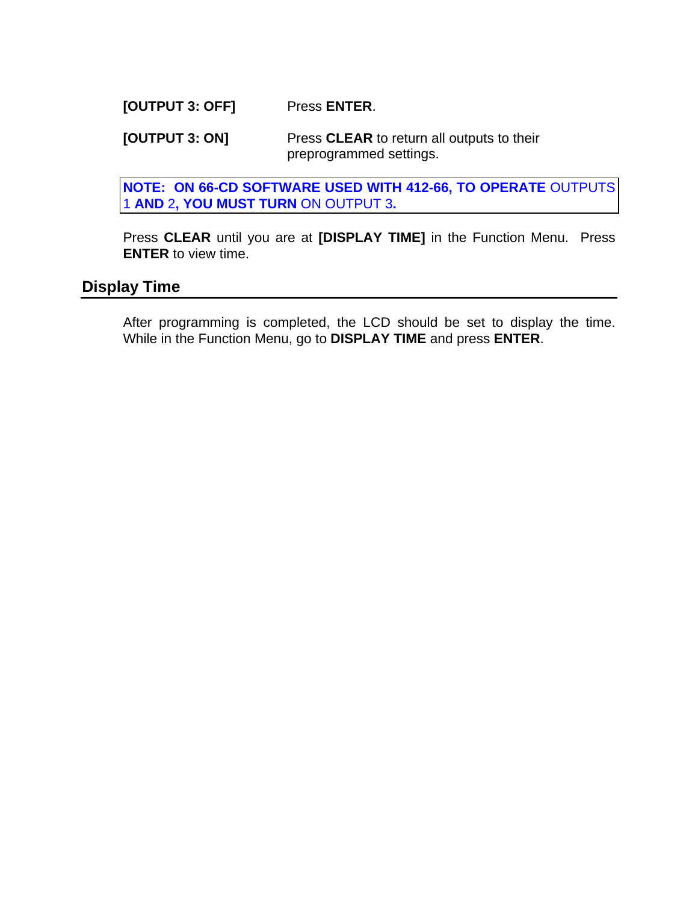**[OUTPUT 3: OFF]** Press **ENTER**.

**[OUTPUT 3: ON]** Press **CLEAR** to return all outputs to their preprogrammed settings.

**NOTE: ON 66-CD SOFTWARE USED WITH 412-66, TO OPERATE** OUTPUTS 1 **AND** 2**, YOU MUST TURN** ON OUTPUT 3**.** 

Press **CLEAR** until you are at **[DISPLAY TIME]** in the Function Menu. Press **ENTER** to view time.

### **Display Time**

After programming is completed, the LCD should be set to display the time. While in the Function Menu, go to **DISPLAY TIME** and press **ENTER**.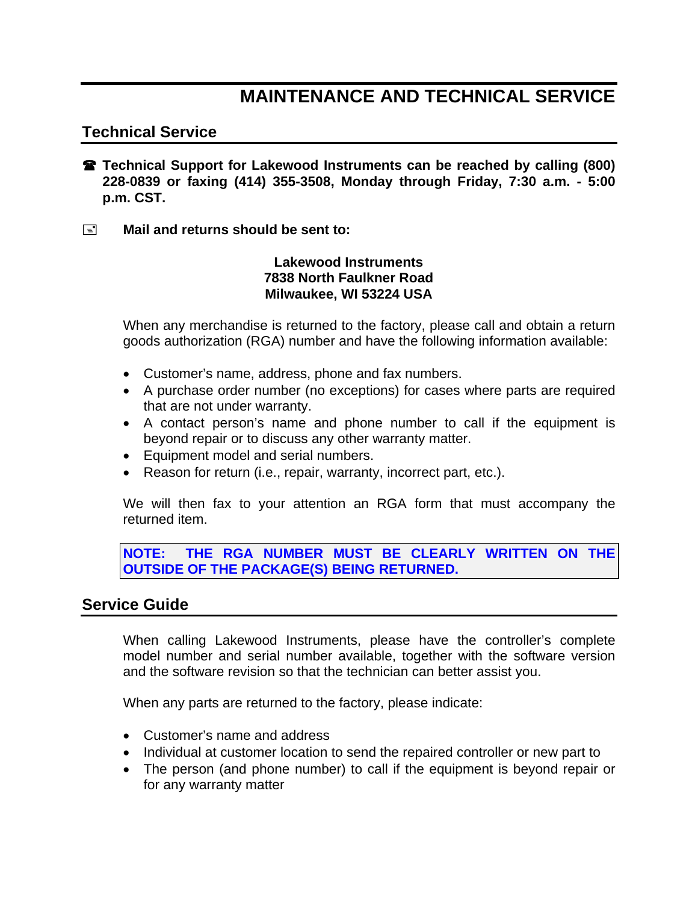## **MAINTENANCE AND TECHNICAL SERVICE**

#### **Technical Service**

- **<b>R** Technical Support for Lakewood Instruments can be reached by calling (800) **228-0839 or faxing (414) 355-3508, Monday through Friday, 7:30 a.m. - 5:00 p.m. CST.**
- **Mail and returns should be sent to:**

#### **Lakewood Instruments 7838 North Faulkner Road Milwaukee, WI 53224 USA**

When any merchandise is returned to the factory, please call and obtain a return goods authorization (RGA) number and have the following information available:

- Customer's name, address, phone and fax numbers.
- A purchase order number (no exceptions) for cases where parts are required that are not under warranty.
- A contact person's name and phone number to call if the equipment is beyond repair or to discuss any other warranty matter.
- Equipment model and serial numbers.
- Reason for return (i.e., repair, warranty, incorrect part, etc.).

We will then fax to your attention an RGA form that must accompany the returned item.

**NOTE: THE RGA NUMBER MUST BE CLEARLY WRITTEN ON THE OUTSIDE OF THE PACKAGE(S) BEING RETURNED.**

#### **Service Guide**

When calling Lakewood Instruments, please have the controller's complete model number and serial number available, together with the software version and the software revision so that the technician can better assist you.

When any parts are returned to the factory, please indicate:

- Customer's name and address
- Individual at customer location to send the repaired controller or new part to
- The person (and phone number) to call if the equipment is beyond repair or for any warranty matter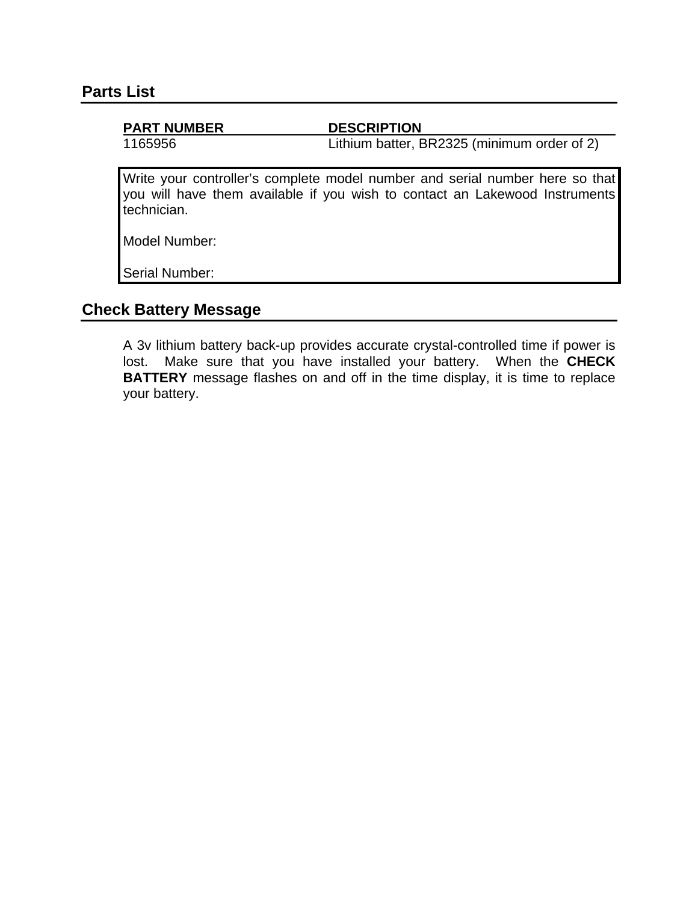#### **PART NUMBER DESCRIPTION**

1165956 Lithium batter, BR2325 (minimum order of 2)

Write your controller's complete model number and serial number here so that you will have them available if you wish to contact an Lakewood Instruments technician.

Model Number:

Serial Number:

### **Check Battery Message**

A 3v lithium battery back-up provides accurate crystal-controlled time if power is lost. Make sure that you have installed your battery. When the **CHECK BATTERY** message flashes on and off in the time display, it is time to replace your battery.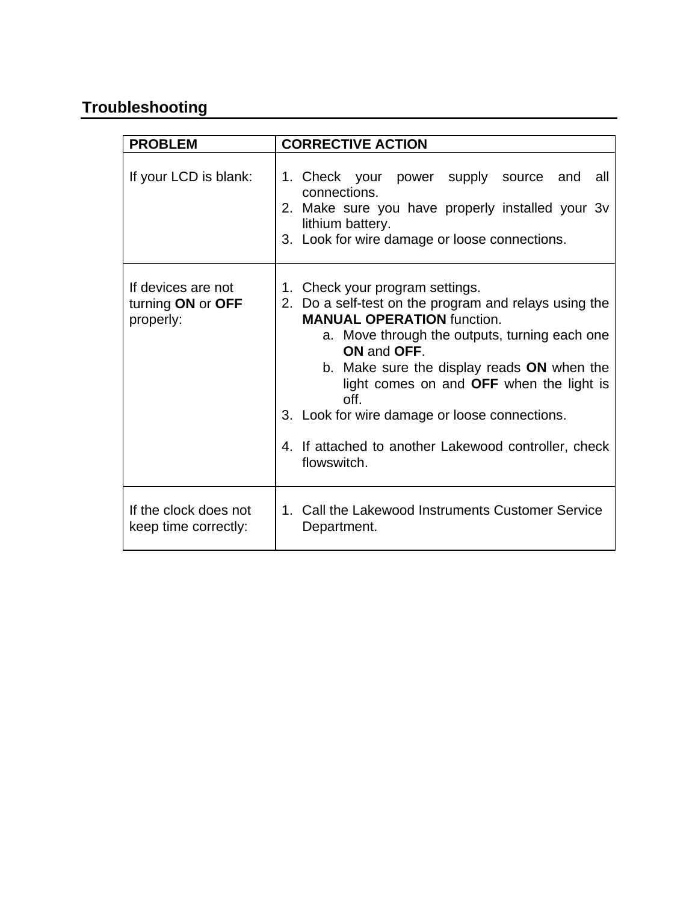## **Troubleshooting**

| <b>PROBLEM</b>                                       | <b>CORRECTIVE ACTION</b>                                                                                                                                                                                                                                                                                                                                                                                                |
|------------------------------------------------------|-------------------------------------------------------------------------------------------------------------------------------------------------------------------------------------------------------------------------------------------------------------------------------------------------------------------------------------------------------------------------------------------------------------------------|
| If your LCD is blank:                                | 1. Check your power supply source<br>and<br>all<br>connections.<br>2. Make sure you have properly installed your 3v<br>lithium battery.<br>3. Look for wire damage or loose connections.                                                                                                                                                                                                                                |
| If devices are not<br>turning ON or OFF<br>properly: | 1. Check your program settings.<br>2. Do a self-test on the program and relays using the<br><b>MANUAL OPERATION function.</b><br>a. Move through the outputs, turning each one<br>ON and OFF.<br>b. Make sure the display reads ON when the<br>light comes on and OFF when the light is<br>off.<br>3. Look for wire damage or loose connections.<br>4. If attached to another Lakewood controller, check<br>flowswitch. |
| If the clock does not<br>keep time correctly:        | 1. Call the Lakewood Instruments Customer Service<br>Department.                                                                                                                                                                                                                                                                                                                                                        |